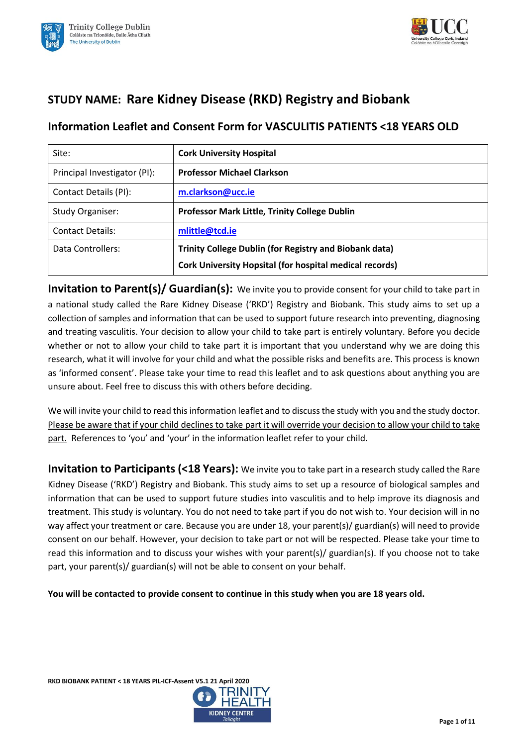



# **STUDY NAME: Rare Kidney Disease (RKD) Registry and Biobank**

# **Information Leaflet and Consent Form for VASCULITIS PATIENTS <18 YEARS OLD**

| Site:                        | <b>Cork University Hospital</b>                                |
|------------------------------|----------------------------------------------------------------|
| Principal Investigator (PI): | <b>Professor Michael Clarkson</b>                              |
| Contact Details (PI):        | m.clarkson@ucc.ie                                              |
| <b>Study Organiser:</b>      | <b>Professor Mark Little, Trinity College Dublin</b>           |
| <b>Contact Details:</b>      | mlittle@tcd.ie                                                 |
| Data Controllers:            | <b>Trinity College Dublin (for Registry and Biobank data)</b>  |
|                              | <b>Cork University Hopsital (for hospital medical records)</b> |

**Invitation to Parent(s)/ Guardian(s):** We invite you to provide consent for your child to take part in a national study called the Rare Kidney Disease ('RKD') Registry and Biobank. This study aims to set up a collection of samples and information that can be used to support future research into preventing, diagnosing and treating vasculitis. Your decision to allow your child to take part is entirely voluntary. Before you decide whether or not to allow your child to take part it is important that you understand why we are doing this research, what it will involve for your child and what the possible risks and benefits are. This process is known as 'informed consent'. Please take your time to read this leaflet and to ask questions about anything you are unsure about. Feel free to discuss this with others before deciding.

We will invite your child to read this information leaflet and to discuss the study with you and the study doctor. Please be aware that if your child declines to take part it will override your decision to allow your child to take part. References to 'you' and 'your' in the information leaflet refer to your child.

**Invitation to Participants (<18 Years):** We invite you to take part in a research study called the Rare Kidney Disease ('RKD') Registry and Biobank. This study aims to set up a resource of biological samples and information that can be used to support future studies into vasculitis and to help improve its diagnosis and treatment. This study is voluntary. You do not need to take part if you do not wish to. Your decision will in no way affect your treatment or care. Because you are under 18, your parent(s)/ guardian(s) will need to provide consent on our behalf. However, your decision to take part or not will be respected. Please take your time to read this information and to discuss your wishes with your parent(s)/ guardian(s). If you choose not to take part, your parent(s)/ guardian(s) will not be able to consent on your behalf.

**You will be contacted to provide consent to continue in this study when you are 18 years old.**

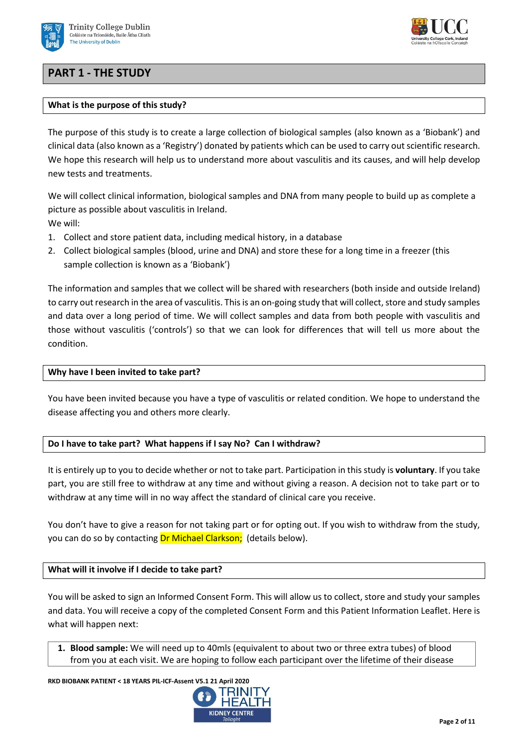

# **PART 1 - THE STUDY**



The purpose of this study is to create a large collection of biological samples (also known as a 'Biobank') and clinical data (also known as a 'Registry') donated by patients which can be used to carry out scientific research. We hope this research will help us to understand more about vasculitis and its causes, and will help develop new tests and treatments.

We will collect clinical information, biological samples and DNA from many people to build up as complete a picture as possible about vasculitis in Ireland. We will:

- 1. Collect and store patient data, including medical history, in a database
- 2. Collect biological samples (blood, urine and DNA) and store these for a long time in a freezer (this sample collection is known as a 'Biobank')

The information and samples that we collect will be shared with researchers (both inside and outside Ireland) to carry out research in the area of vasculitis. This is an on-going study that will collect, store and study samples and data over a long period of time. We will collect samples and data from both people with vasculitis and those without vasculitis ('controls') so that we can look for differences that will tell us more about the condition.

## **Why have I been invited to take part?**

You have been invited because you have a type of vasculitis or related condition. We hope to understand the disease affecting you and others more clearly.

## **Do I have to take part? What happens if I say No? Can I withdraw?**

It is entirely up to you to decide whether or not to take part. Participation in this study is **voluntary**. If you take part, you are still free to withdraw at any time and without giving a reason. A decision not to take part or to withdraw at any time will in no way affect the standard of clinical care you receive.

You don't have to give a reason for not taking part or for opting out. If you wish to withdraw from the study, you can do so by contacting Dr Michael Clarkson; (details below).

## **What will it involve if I decide to take part?**

You will be asked to sign an Informed Consent Form. This will allow us to collect, store and study your samples and data. You will receive a copy of the completed Consent Form and this Patient Information Leaflet. Here is what will happen next:

**1. Blood sample:** We will need up to 40mls (equivalent to about two or three extra tubes) of blood from you at each visit. We are hoping to follow each participant over the lifetime of their disease

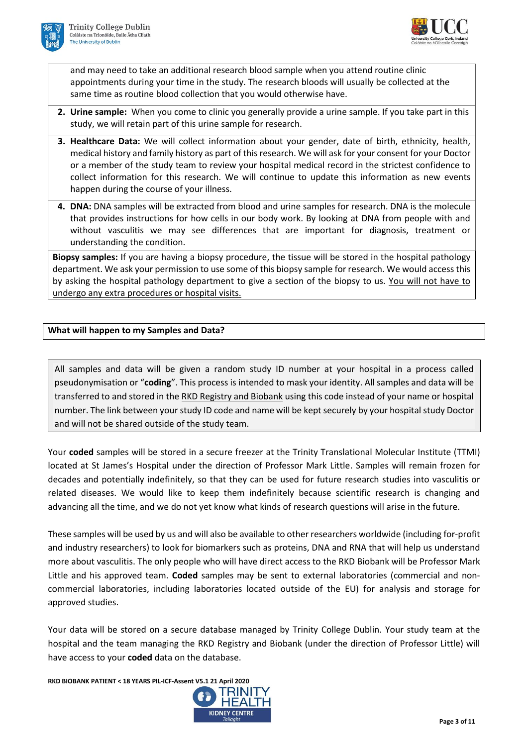



and may need to take an additional research blood sample when you attend routine clinic appointments during your time in the study. The research bloods will usually be collected at the same time as routine blood collection that you would otherwise have.

- **2. Urine sample:** When you come to clinic you generally provide a urine sample. If you take part in this study, we will retain part of this urine sample for research.
- **3. Healthcare Data:** We will collect information about your gender, date of birth, ethnicity, health, medical history and family history as part of this research. We will ask for your consent for your Doctor or a member of the study team to review your hospital medical record in the strictest confidence to collect information for this research. We will continue to update this information as new events happen during the course of your illness.
- **4. DNA:** DNA samples will be extracted from blood and urine samples for research. DNA is the molecule that provides instructions for how cells in our body work. By looking at DNA from people with and without vasculitis we may see differences that are important for diagnosis, treatment or understanding the condition.

**Biopsy samples:** If you are having a biopsy procedure, the tissue will be stored in the hospital pathology department. We ask your permission to use some of this biopsy sample for research. We would access this by asking the hospital pathology department to give a section of the biopsy to us. You will not have to undergo any extra procedures or hospital visits.

# **What will happen to my Samples and Data?**

All samples and data will be given a random study ID number at your hospital in a process called pseudonymisation or "**coding**". This process is intended to mask your identity. All samples and data will be transferred to and stored in the RKD Registry and Biobank using this code instead of your name or hospital number. The link between your study ID code and name will be kept securely by your hospital study Doctor and will not be shared outside of the study team.

Your **coded** samples will be stored in a secure freezer at the Trinity Translational Molecular Institute (TTMI) located at St James's Hospital under the direction of Professor Mark Little. Samples will remain frozen for decades and potentially indefinitely, so that they can be used for future research studies into vasculitis or related diseases. We would like to keep them indefinitely because scientific research is changing and advancing all the time, and we do not yet know what kinds of research questions will arise in the future.

These samples will be used by us and will also be available to other researchers worldwide (including for-profit and industry researchers) to look for biomarkers such as proteins, DNA and RNA that will help us understand more about vasculitis. The only people who will have direct access to the RKD Biobank will be Professor Mark Little and his approved team. **Coded** samples may be sent to external laboratories (commercial and noncommercial laboratories, including laboratories located outside of the EU) for analysis and storage for approved studies.

Your data will be stored on a secure database managed by Trinity College Dublin. Your study team at the hospital and the team managing the RKD Registry and Biobank (under the direction of Professor Little) will have access to your **coded** data on the database.

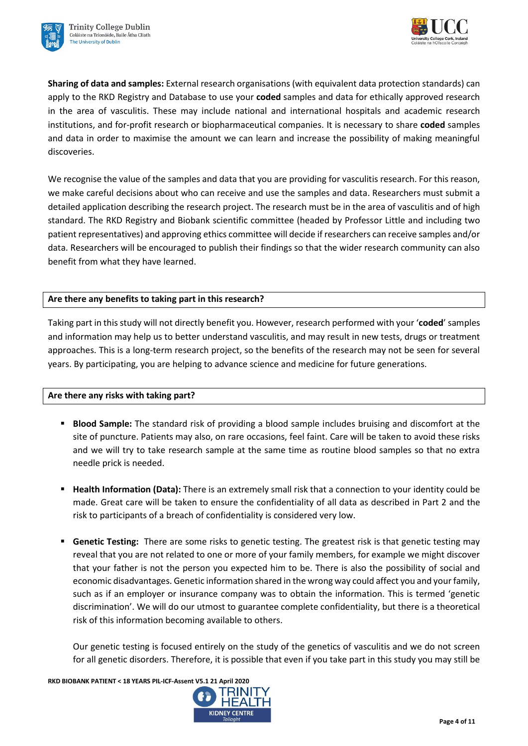



**Sharing of data and samples:** External research organisations (with equivalent data protection standards) can apply to the RKD Registry and Database to use your **coded** samples and data for ethically approved research in the area of vasculitis. These may include national and international hospitals and academic research institutions, and for-profit research or biopharmaceutical companies. It is necessary to share **coded** samples and data in order to maximise the amount we can learn and increase the possibility of making meaningful discoveries.

We recognise the value of the samples and data that you are providing for vasculitis research. For this reason, we make careful decisions about who can receive and use the samples and data. Researchers must submit a detailed application describing the research project. The research must be in the area of vasculitis and of high standard. The RKD Registry and Biobank scientific committee (headed by Professor Little and including two patient representatives) and approving ethics committee will decide if researchers can receive samples and/or data. Researchers will be encouraged to publish their findings so that the wider research community can also benefit from what they have learned.

# **Are there any benefits to taking part in this research?**

Taking part in this study will not directly benefit you. However, research performed with your '**coded**' samples and information may help us to better understand vasculitis, and may result in new tests, drugs or treatment approaches. This is a long-term research project, so the benefits of the research may not be seen for several years. By participating, you are helping to advance science and medicine for future generations.

## **Are there any risks with taking part?**

- **Blood Sample:** The standard risk of providing a blood sample includes bruising and discomfort at the site of puncture. Patients may also, on rare occasions, feel faint. Care will be taken to avoid these risks and we will try to take research sample at the same time as routine blood samples so that no extra needle prick is needed.
- **Health Information (Data):** There is an extremely small risk that a connection to your identity could be made. Great care will be taken to ensure the confidentiality of all data as described in Part 2 and the risk to participants of a breach of confidentiality is considered very low.
- **EXEDENTE:** Genetic Testing: There are some risks to genetic testing. The greatest risk is that genetic testing may reveal that you are not related to one or more of your family members, for example we might discover that your father is not the person you expected him to be. There is also the possibility of social and economic disadvantages. Genetic information shared in the wrong way could affect you and your family, such as if an employer or insurance company was to obtain the information. This is termed 'genetic discrimination'. We will do our utmost to guarantee complete confidentiality, but there is a theoretical risk of this information becoming available to others.

Our genetic testing is focused entirely on the study of the genetics of vasculitis and we do not screen for all genetic disorders. Therefore, it is possible that even if you take part in this study you may still be

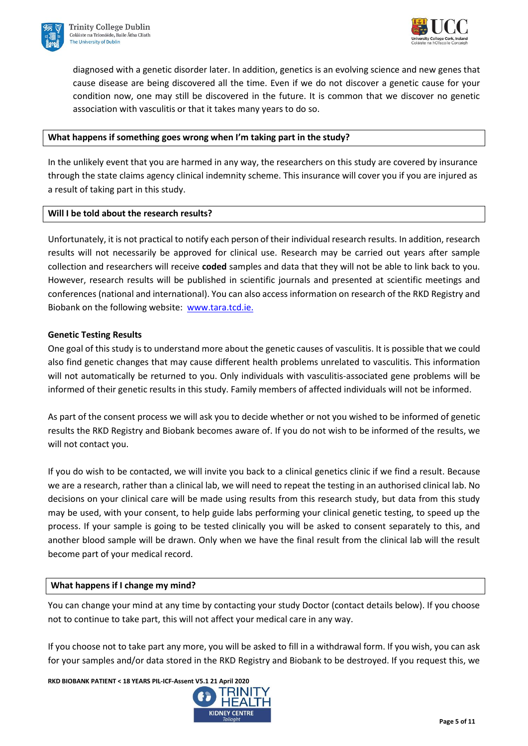



diagnosed with a genetic disorder later. In addition, genetics is an evolving science and new genes that cause disease are being discovered all the time. Even if we do not discover a genetic cause for your condition now, one may still be discovered in the future. It is common that we discover no genetic association with vasculitis or that it takes many years to do so.

## **What happens if something goes wrong when I'm taking part in the study?**

In the unlikely event that you are harmed in any way, the researchers on this study are covered by insurance through the state claims agency clinical indemnity scheme. This insurance will cover you if you are injured as a result of taking part in this study.

## **Will I be told about the research results?**

Unfortunately, it is not practical to notify each person of their individual research results. In addition, research results will not necessarily be approved for clinical use. Research may be carried out years after sample collection and researchers will receive **coded** samples and data that they will not be able to link back to you. However, research results will be published in scientific journals and presented at scientific meetings and conferences (national and international). You can also access information on research of the RKD Registry and Biobank on the following website: [www.tara.tcd.ie.](http://www.tara.tcd.ie/)

## **Genetic Testing Results**

One goal of this study is to understand more about the genetic causes of vasculitis. It is possible that we could also find genetic changes that may cause different health problems unrelated to vasculitis. This information will not automatically be returned to you. Only individuals with vasculitis-associated gene problems will be informed of their genetic results in this study. Family members of affected individuals will not be informed.

As part of the consent process we will ask you to decide whether or not you wished to be informed of genetic results the RKD Registry and Biobank becomes aware of. If you do not wish to be informed of the results, we will not contact you.

If you do wish to be contacted, we will invite you back to a clinical genetics clinic if we find a result. Because we are a research, rather than a clinical lab, we will need to repeat the testing in an authorised clinical lab. No decisions on your clinical care will be made using results from this research study, but data from this study may be used, with your consent, to help guide labs performing your clinical genetic testing, to speed up the process. If your sample is going to be tested clinically you will be asked to consent separately to this, and another blood sample will be drawn. Only when we have the final result from the clinical lab will the result become part of your medical record.

## **What happens if I change my mind?**

You can change your mind at any time by contacting your study Doctor (contact details below). If you choose not to continue to take part, this will not affect your medical care in any way.

If you choose not to take part any more, you will be asked to fill in a withdrawal form. If you wish, you can ask for your samples and/or data stored in the RKD Registry and Biobank to be destroyed. If you request this, we

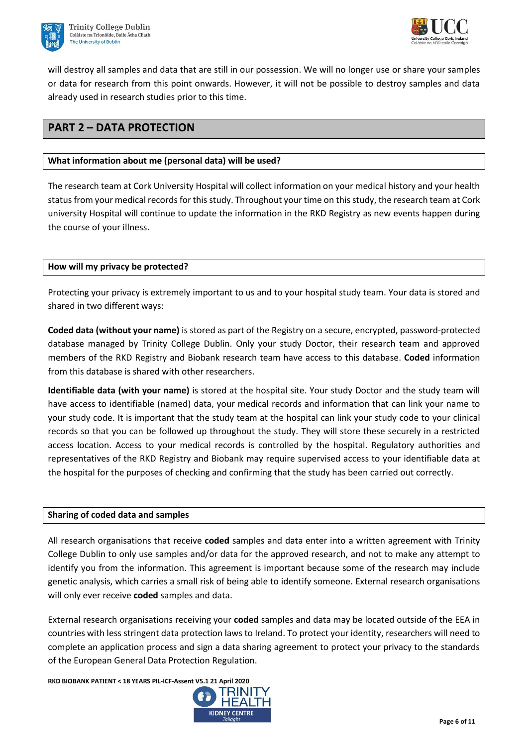



will destroy all samples and data that are still in our possession. We will no longer use or share your samples or data for research from this point onwards. However, it will not be possible to destroy samples and data already used in research studies prior to this time.

# **PART 2 – DATA PROTECTION**

# **What information about me (personal data) will be used?**

The research team at Cork University Hospital will collect information on your medical history and your health status from your medical records for this study. Throughout your time on this study, the research team at Cork university Hospital will continue to update the information in the RKD Registry as new events happen during the course of your illness.

## **How will my privacy be protected?**

Protecting your privacy is extremely important to us and to your hospital study team. Your data is stored and shared in two different ways:

**Coded data (without your name)** is stored as part of the Registry on a secure, encrypted, password-protected database managed by Trinity College Dublin. Only your study Doctor, their research team and approved members of the RKD Registry and Biobank research team have access to this database. **Coded** information from this database is shared with other researchers.

**Identifiable data (with your name)** is stored at the hospital site. Your study Doctor and the study team will have access to identifiable (named) data, your medical records and information that can link your name to your study code. It is important that the study team at the hospital can link your study code to your clinical records so that you can be followed up throughout the study. They will store these securely in a restricted access location. Access to your medical records is controlled by the hospital. Regulatory authorities and representatives of the RKD Registry and Biobank may require supervised access to your identifiable data at the hospital for the purposes of checking and confirming that the study has been carried out correctly.

## **Sharing of coded data and samples**

All research organisations that receive **coded** samples and data enter into a written agreement with Trinity College Dublin to only use samples and/or data for the approved research, and not to make any attempt to identify you from the information. This agreement is important because some of the research may include genetic analysis, which carries a small risk of being able to identify someone. External research organisations will only ever receive **coded** samples and data.

External research organisations receiving your **coded** samples and data may be located outside of the EEA in countries with less stringent data protection laws to Ireland. To protect your identity, researchers will need to complete an application process and sign a data sharing agreement to protect your privacy to the standards of the European General Data Protection Regulation.

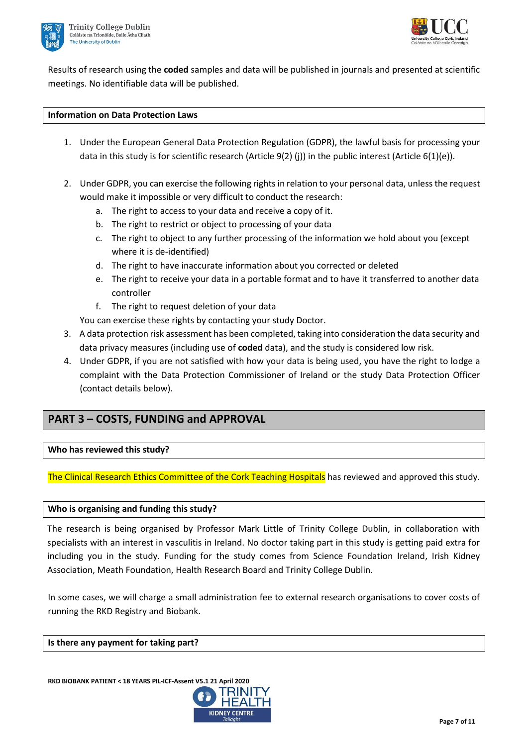



Results of research using the **coded** samples and data will be published in journals and presented at scientific meetings. No identifiable data will be published.

## **Information on Data Protection Laws**

- 1. Under the European General Data Protection Regulation (GDPR), the lawful basis for processing your data in this study is for scientific research (Article 9(2) (j)) in the public interest (Article 6(1)(e)).
- 2. Under GDPR, you can exercise the following rights in relation to your personal data, unless the request would make it impossible or very difficult to conduct the research:
	- a. The right to access to your data and receive a copy of it.
	- b. The right to restrict or object to processing of your data
	- c. The right to object to any further processing of the information we hold about you (except where it is de-identified)
	- d. The right to have inaccurate information about you corrected or deleted
	- e. The right to receive your data in a portable format and to have it transferred to another data controller
	- f. The right to request deletion of your data

You can exercise these rights by contacting your study Doctor.

- 3. A data protection risk assessment has been completed, taking into consideration the data security and data privacy measures (including use of **coded** data), and the study is considered low risk.
- 4. Under GDPR, if you are not satisfied with how your data is being used, you have the right to lodge a complaint with the Data Protection Commissioner of Ireland or the study Data Protection Officer (contact details below).

# **PART 3 – COSTS, FUNDING and APPROVAL**

# **Who has reviewed this study?**

The Clinical Research Ethics Committee of the Cork Teaching Hospitals has reviewed and approved this study.

## **Who is organising and funding this study?**

The research is being organised by Professor Mark Little of Trinity College Dublin, in collaboration with specialists with an interest in vasculitis in Ireland. No doctor taking part in this study is getting paid extra for including you in the study. Funding for the study comes from Science Foundation Ireland, Irish Kidney Association, Meath Foundation, Health Research Board and Trinity College Dublin.

In some cases, we will charge a small administration fee to external research organisations to cover costs of running the RKD Registry and Biobank.

#### **Is there any payment for taking part?**

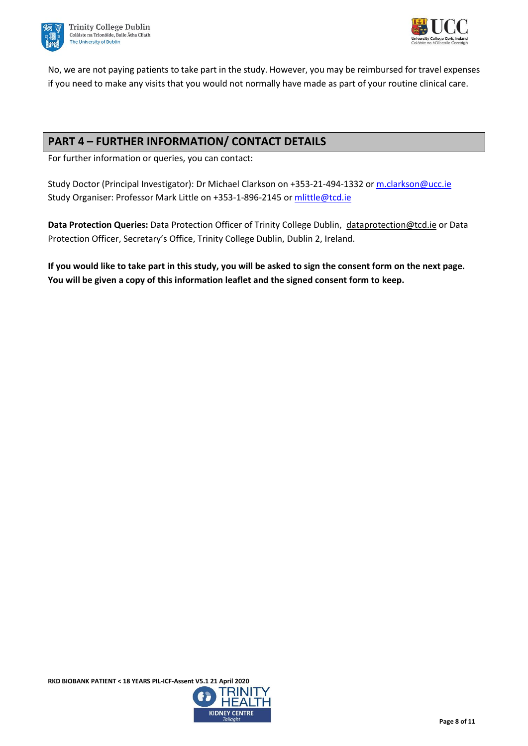



No, we are not paying patients to take part in the study. However, you may be reimbursed for travel expenses if you need to make any visits that you would not normally have made as part of your routine clinical care.

# **PART 4 – FURTHER INFORMATION/ CONTACT DETAILS**

For further information or queries, you can contact:

Study Doctor (Principal Investigator): Dr Michael Clarkson on +353-21-494-1332 o[r m.clarkson@ucc.ie](file://///nas.ucc.ie/Groups/CRFCQuality/Regulatory%20and%20Ethics/RKD%20Clarkson/CREC%20submission%20April%202020/CREC%20Resubmission%2021%20Apirl/m.clarkson@ucc.ie) Study Organiser: Professor Mark Little on +353-1-896-2145 or [mlittle@tcd.ie](mailto:mlittle@tcd.ie)

**Data Protection Queries:** Data Protection Officer of Trinity College Dublin, [dataprotection@tcd.ie](mailto:dataprotection@tcd.ie) or Data Protection Officer, Secretary's Office, Trinity College Dublin, Dublin 2, Ireland.

**If you would like to take part in this study, you will be asked to sign the consent form on the next page. You will be given a copy of this information leaflet and the signed consent form to keep.**

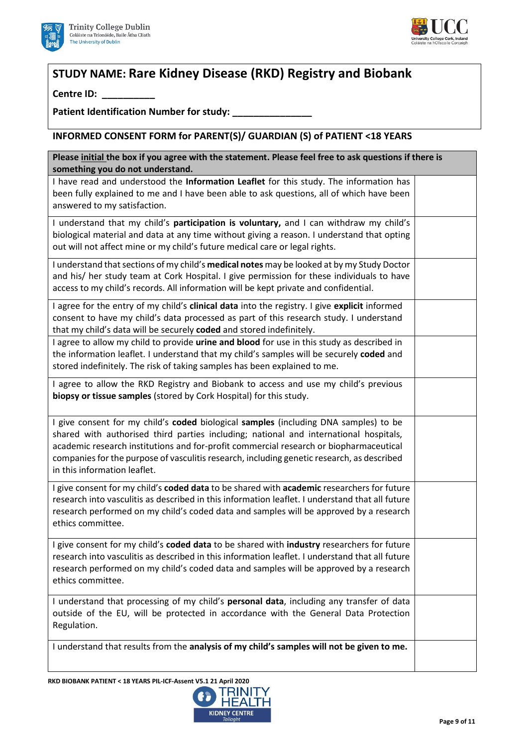



# **STUDY NAME: Rare Kidney Disease (RKD) Registry and Biobank**

**Centre ID: \_\_\_\_\_\_\_\_\_\_**

Patient Identification Number for study:

**INFORMED CONSENT FORM for PARENT(S)/ GUARDIAN (S) of PATIENT <18 YEARS**

| Please initial the box if you agree with the statement. Please feel free to ask questions if there is<br>something you do not understand.                                                                                                                                                                                                                                                             |  |  |
|-------------------------------------------------------------------------------------------------------------------------------------------------------------------------------------------------------------------------------------------------------------------------------------------------------------------------------------------------------------------------------------------------------|--|--|
| I have read and understood the Information Leaflet for this study. The information has<br>been fully explained to me and I have been able to ask questions, all of which have been<br>answered to my satisfaction.                                                                                                                                                                                    |  |  |
| I understand that my child's participation is voluntary, and I can withdraw my child's<br>biological material and data at any time without giving a reason. I understand that opting<br>out will not affect mine or my child's future medical care or legal rights.                                                                                                                                   |  |  |
| I understand that sections of my child's medical notes may be looked at by my Study Doctor<br>and his/ her study team at Cork Hospital. I give permission for these individuals to have<br>access to my child's records. All information will be kept private and confidential.                                                                                                                       |  |  |
| I agree for the entry of my child's clinical data into the registry. I give explicit informed<br>consent to have my child's data processed as part of this research study. I understand<br>that my child's data will be securely coded and stored indefinitely.                                                                                                                                       |  |  |
| I agree to allow my child to provide urine and blood for use in this study as described in<br>the information leaflet. I understand that my child's samples will be securely coded and<br>stored indefinitely. The risk of taking samples has been explained to me.                                                                                                                                   |  |  |
| I agree to allow the RKD Registry and Biobank to access and use my child's previous<br>biopsy or tissue samples (stored by Cork Hospital) for this study.                                                                                                                                                                                                                                             |  |  |
| I give consent for my child's coded biological samples (including DNA samples) to be<br>shared with authorised third parties including; national and international hospitals,<br>academic research institutions and for-profit commercial research or biopharmaceutical<br>companies for the purpose of vasculitis research, including genetic research, as described<br>in this information leaflet. |  |  |
| I give consent for my child's coded data to be shared with academic researchers for future<br>research into vasculitis as described in this information leaflet. I understand that all future<br>research performed on my child's coded data and samples will be approved by a research<br>ethics committee.                                                                                          |  |  |
| I give consent for my child's coded data to be shared with industry researchers for future<br>research into vasculitis as described in this information leaflet. I understand that all future<br>research performed on my child's coded data and samples will be approved by a research<br>ethics committee.                                                                                          |  |  |
| I understand that processing of my child's personal data, including any transfer of data<br>outside of the EU, will be protected in accordance with the General Data Protection<br>Regulation.                                                                                                                                                                                                        |  |  |
| I understand that results from the analysis of my child's samples will not be given to me.                                                                                                                                                                                                                                                                                                            |  |  |

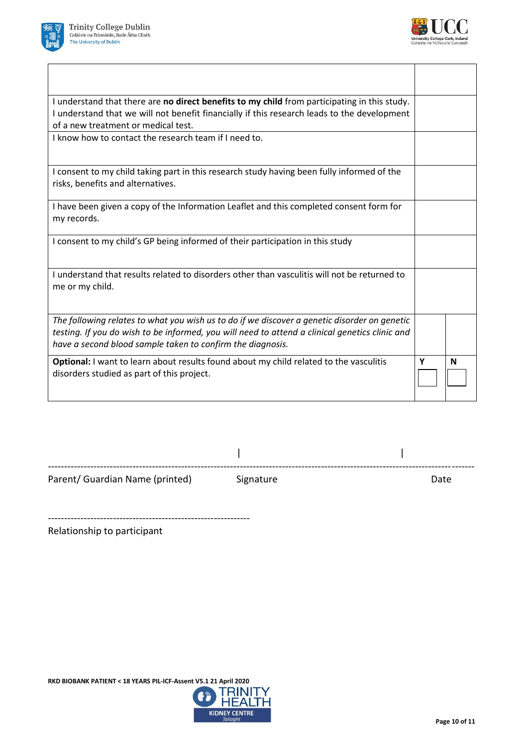



| I understand that there are no direct benefits to my child from participating in this study.<br>I understand that we will not benefit financially if this research leads to the development<br>of a new treatment or medical test.                           |   |   |
|--------------------------------------------------------------------------------------------------------------------------------------------------------------------------------------------------------------------------------------------------------------|---|---|
| I know how to contact the research team if I need to.                                                                                                                                                                                                        |   |   |
| I consent to my child taking part in this research study having been fully informed of the<br>risks, benefits and alternatives.                                                                                                                              |   |   |
| I have been given a copy of the Information Leaflet and this completed consent form for<br>my records.                                                                                                                                                       |   |   |
| I consent to my child's GP being informed of their participation in this study                                                                                                                                                                               |   |   |
| I understand that results related to disorders other than vasculitis will not be returned to<br>me or my child.                                                                                                                                              |   |   |
| The following relates to what you wish us to do if we discover a genetic disorder on genetic<br>testing. If you do wish to be informed, you will need to attend a clinical genetics clinic and<br>have a second blood sample taken to confirm the diagnosis. |   |   |
| <b>Optional:</b> I want to learn about results found about my child related to the vasculitis<br>disorders studied as part of this project.                                                                                                                  | Υ | N |

| Parent/ Guardian Name (printed) | Signature | Date |
|---------------------------------|-----------|------|

--------------------------------------------------------------

Relationship to participant